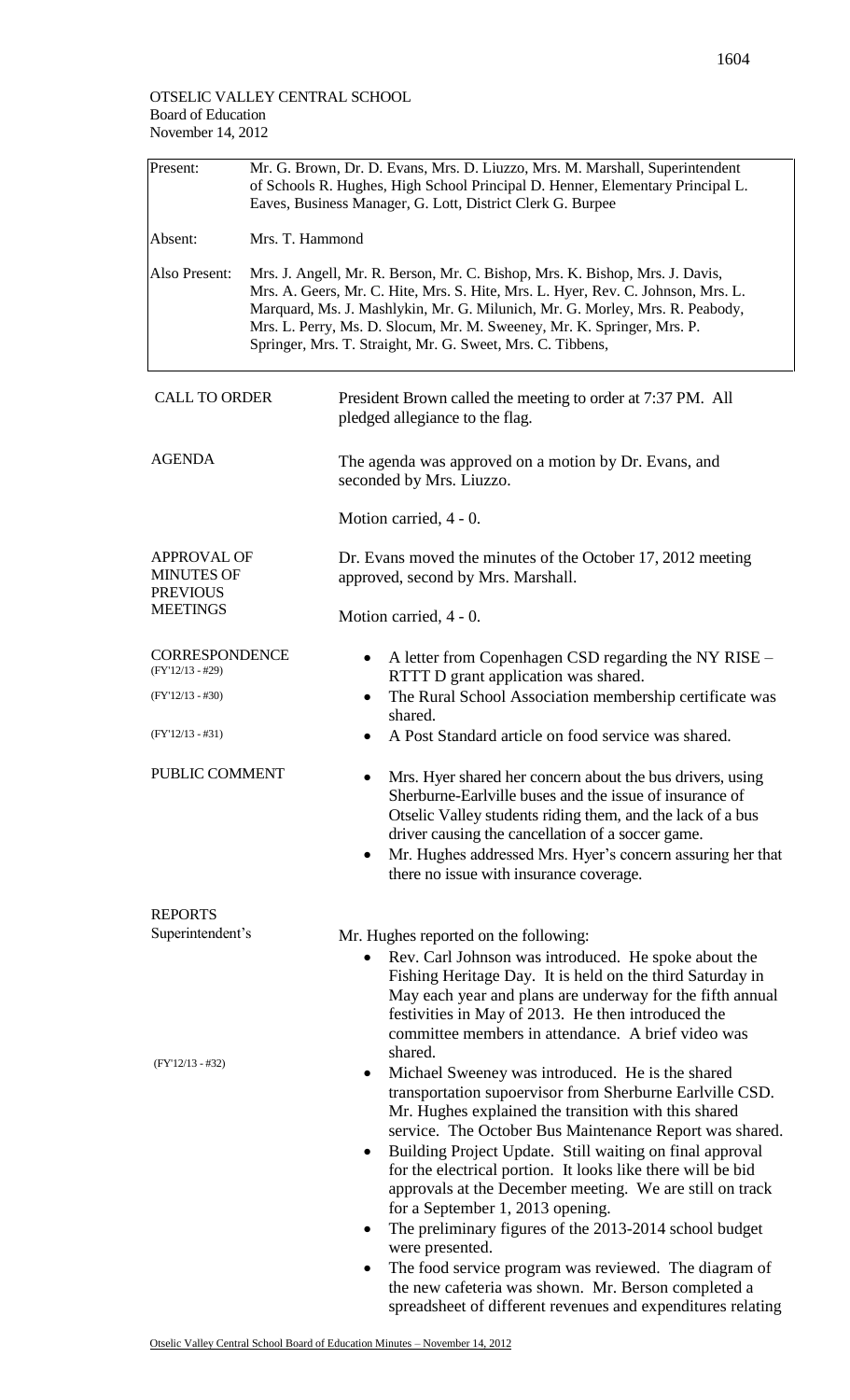| Present:                                                                      | Mr. G. Brown, Dr. D. Evans, Mrs. D. Liuzzo, Mrs. M. Marshall, Superintendent<br>of Schools R. Hughes, High School Principal D. Henner, Elementary Principal L.<br>Eaves, Business Manager, G. Lott, District Clerk G. Burpee                                                                                                                                                             |                                                                                                                                                                                                                                                                                                                                                                                                                                                                                                                                                                                                                                                                                |  |  |  |
|-------------------------------------------------------------------------------|------------------------------------------------------------------------------------------------------------------------------------------------------------------------------------------------------------------------------------------------------------------------------------------------------------------------------------------------------------------------------------------|--------------------------------------------------------------------------------------------------------------------------------------------------------------------------------------------------------------------------------------------------------------------------------------------------------------------------------------------------------------------------------------------------------------------------------------------------------------------------------------------------------------------------------------------------------------------------------------------------------------------------------------------------------------------------------|--|--|--|
| Absent:                                                                       | Mrs. T. Hammond                                                                                                                                                                                                                                                                                                                                                                          |                                                                                                                                                                                                                                                                                                                                                                                                                                                                                                                                                                                                                                                                                |  |  |  |
| Also Present:                                                                 | Mrs. J. Angell, Mr. R. Berson, Mr. C. Bishop, Mrs. K. Bishop, Mrs. J. Davis,<br>Mrs. A. Geers, Mr. C. Hite, Mrs. S. Hite, Mrs. L. Hyer, Rev. C. Johnson, Mrs. L.<br>Marquard, Ms. J. Mashlykin, Mr. G. Milunich, Mr. G. Morley, Mrs. R. Peabody,<br>Mrs. L. Perry, Ms. D. Slocum, Mr. M. Sweeney, Mr. K. Springer, Mrs. P.<br>Springer, Mrs. T. Straight, Mr. G. Sweet, Mrs. C. Tibbens, |                                                                                                                                                                                                                                                                                                                                                                                                                                                                                                                                                                                                                                                                                |  |  |  |
| <b>CALL TO ORDER</b>                                                          |                                                                                                                                                                                                                                                                                                                                                                                          | President Brown called the meeting to order at 7:37 PM. All<br>pledged allegiance to the flag.                                                                                                                                                                                                                                                                                                                                                                                                                                                                                                                                                                                 |  |  |  |
| <b>AGENDA</b>                                                                 |                                                                                                                                                                                                                                                                                                                                                                                          | The agenda was approved on a motion by Dr. Evans, and<br>seconded by Mrs. Liuzzo.                                                                                                                                                                                                                                                                                                                                                                                                                                                                                                                                                                                              |  |  |  |
|                                                                               |                                                                                                                                                                                                                                                                                                                                                                                          | Motion carried, $4 - 0$ .                                                                                                                                                                                                                                                                                                                                                                                                                                                                                                                                                                                                                                                      |  |  |  |
| <b>APPROVAL OF</b><br><b>MINUTES OF</b><br><b>PREVIOUS</b><br><b>MEETINGS</b> |                                                                                                                                                                                                                                                                                                                                                                                          | Dr. Evans moved the minutes of the October 17, 2012 meeting<br>approved, second by Mrs. Marshall.                                                                                                                                                                                                                                                                                                                                                                                                                                                                                                                                                                              |  |  |  |
|                                                                               |                                                                                                                                                                                                                                                                                                                                                                                          | Motion carried, 4 - 0.                                                                                                                                                                                                                                                                                                                                                                                                                                                                                                                                                                                                                                                         |  |  |  |
| <b>CORRESPONDENCE</b><br>$(FY'12/13 - #29)$                                   |                                                                                                                                                                                                                                                                                                                                                                                          | A letter from Copenhagen CSD regarding the NY RISE -<br>$\bullet$<br>RTTT D grant application was shared.                                                                                                                                                                                                                                                                                                                                                                                                                                                                                                                                                                      |  |  |  |
| $(FY'12/13 - #30)$                                                            |                                                                                                                                                                                                                                                                                                                                                                                          | The Rural School Association membership certificate was<br>$\bullet$<br>shared.                                                                                                                                                                                                                                                                                                                                                                                                                                                                                                                                                                                                |  |  |  |
| $(FY'12/13 - #31)$                                                            |                                                                                                                                                                                                                                                                                                                                                                                          | A Post Standard article on food service was shared.<br>$\bullet$                                                                                                                                                                                                                                                                                                                                                                                                                                                                                                                                                                                                               |  |  |  |
| PUBLIC COMMENT                                                                |                                                                                                                                                                                                                                                                                                                                                                                          | Mrs. Hyer shared her concern about the bus drivers, using<br>Sherburne-Earlyille buses and the issue of insurance of<br>Otselic Valley students riding them, and the lack of a bus<br>driver causing the cancellation of a soccer game.<br>Mr. Hughes addressed Mrs. Hyer's concern assuring her that<br>$\bullet$<br>there no issue with insurance coverage.                                                                                                                                                                                                                                                                                                                  |  |  |  |
| <b>REPORTS</b>                                                                |                                                                                                                                                                                                                                                                                                                                                                                          |                                                                                                                                                                                                                                                                                                                                                                                                                                                                                                                                                                                                                                                                                |  |  |  |
| Superintendent's                                                              |                                                                                                                                                                                                                                                                                                                                                                                          | Mr. Hughes reported on the following:<br>Rev. Carl Johnson was introduced. He spoke about the<br>$\bullet$<br>Fishing Heritage Day. It is held on the third Saturday in<br>May each year and plans are underway for the fifth annual<br>festivities in May of 2013. He then introduced the<br>committee members in attendance. A brief video was<br>shared.                                                                                                                                                                                                                                                                                                                    |  |  |  |
| $(FY'12/13 - #32)$                                                            |                                                                                                                                                                                                                                                                                                                                                                                          | Michael Sweeney was introduced. He is the shared<br>$\bullet$<br>transportation supoervisor from Sherburne Earlville CSD.<br>Mr. Hughes explained the transition with this shared<br>service. The October Bus Maintenance Report was shared.<br>Building Project Update. Still waiting on final approval<br>٠<br>for the electrical portion. It looks like there will be bid<br>approvals at the December meeting. We are still on track<br>for a September 1, 2013 opening.<br>The preliminary figures of the 2013-2014 school budget<br>٠<br>were presented.<br>The food service program was reviewed. The diagram of<br>the new cafeteria was shown. Mr. Berson completed a |  |  |  |

spreadsheet of different revenues and expenditures relating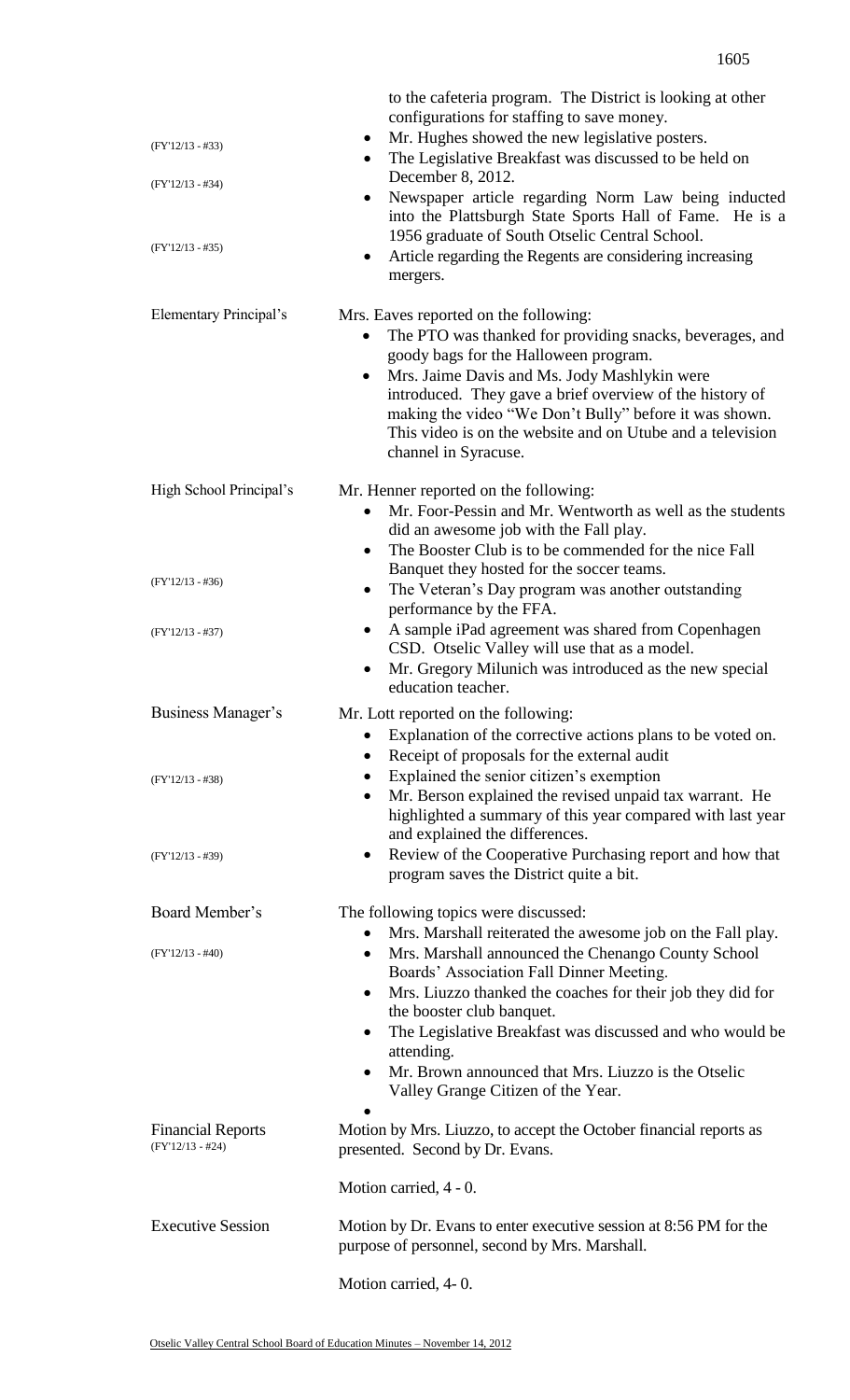| $(FY'12/13 - #33)$<br>$(FY'12/13 - #34)$<br>$(FY'12/13 - #35)$ | to the cafeteria program. The District is looking at other<br>configurations for staffing to save money.<br>Mr. Hughes showed the new legislative posters.<br>$\bullet$<br>The Legislative Breakfast was discussed to be held on<br>$\bullet$<br>December 8, 2012.<br>Newspaper article regarding Norm Law being inducted<br>٠<br>into the Plattsburgh State Sports Hall of Fame. He is a<br>1956 graduate of South Otselic Central School.<br>Article regarding the Regents are considering increasing<br>mergers. |
|----------------------------------------------------------------|---------------------------------------------------------------------------------------------------------------------------------------------------------------------------------------------------------------------------------------------------------------------------------------------------------------------------------------------------------------------------------------------------------------------------------------------------------------------------------------------------------------------|
| Elementary Principal's                                         | Mrs. Eaves reported on the following:<br>The PTO was thanked for providing snacks, beverages, and<br>$\bullet$<br>goody bags for the Halloween program.<br>Mrs. Jaime Davis and Ms. Jody Mashlykin were<br>$\bullet$<br>introduced. They gave a brief overview of the history of<br>making the video "We Don't Bully" before it was shown.<br>This video is on the website and on Utube and a television<br>channel in Syracuse.                                                                                    |
| High School Principal's                                        | Mr. Henner reported on the following:<br>Mr. Foor-Pessin and Mr. Wentworth as well as the students<br>$\bullet$<br>did an awesome job with the Fall play.<br>The Booster Club is to be commended for the nice Fall<br>$\bullet$<br>Banquet they hosted for the soccer teams.                                                                                                                                                                                                                                        |
| $(FY'12/13 - #36)$                                             | The Veteran's Day program was another outstanding<br>$\bullet$<br>performance by the FFA.                                                                                                                                                                                                                                                                                                                                                                                                                           |
| $(FY'12/13 - #37)$                                             | A sample iPad agreement was shared from Copenhagen<br>CSD. Otselic Valley will use that as a model.<br>Mr. Gregory Milunich was introduced as the new special<br>$\bullet$<br>education teacher.                                                                                                                                                                                                                                                                                                                    |
| Business Manager's                                             | Mr. Lott reported on the following:<br>Explanation of the corrective actions plans to be voted on.<br>Receipt of proposals for the external audit<br>$\bullet$                                                                                                                                                                                                                                                                                                                                                      |
| $(FY'12/13 - #38)$                                             | Explained the senior citizen's exemption<br>٠<br>Mr. Berson explained the revised unpaid tax warrant. He<br>$\bullet$<br>highlighted a summary of this year compared with last year<br>and explained the differences.                                                                                                                                                                                                                                                                                               |
| $(FY'12/13 - #39)$                                             | Review of the Cooperative Purchasing report and how that<br>٠<br>program saves the District quite a bit.                                                                                                                                                                                                                                                                                                                                                                                                            |
| Board Member's                                                 | The following topics were discussed:<br>Mrs. Marshall reiterated the awesome job on the Fall play.<br>٠                                                                                                                                                                                                                                                                                                                                                                                                             |
| $(FY'12/13 - #40)$                                             | Mrs. Marshall announced the Chenango County School<br>$\bullet$<br>Boards' Association Fall Dinner Meeting.<br>Mrs. Liuzzo thanked the coaches for their job they did for<br>$\bullet$<br>the booster club banquet.<br>The Legislative Breakfast was discussed and who would be<br>٠<br>attending.<br>Mr. Brown announced that Mrs. Liuzzo is the Otselic<br>٠<br>Valley Grange Citizen of the Year.                                                                                                                |
| <b>Financial Reports</b><br>$(FY'12/13 - #24)$                 | Motion by Mrs. Liuzzo, to accept the October financial reports as<br>presented. Second by Dr. Evans.                                                                                                                                                                                                                                                                                                                                                                                                                |
|                                                                | Motion carried, 4 - 0.                                                                                                                                                                                                                                                                                                                                                                                                                                                                                              |
| <b>Executive Session</b>                                       | Motion by Dr. Evans to enter executive session at 8:56 PM for the<br>purpose of personnel, second by Mrs. Marshall.                                                                                                                                                                                                                                                                                                                                                                                                 |
|                                                                | Motion carried, 4-0.                                                                                                                                                                                                                                                                                                                                                                                                                                                                                                |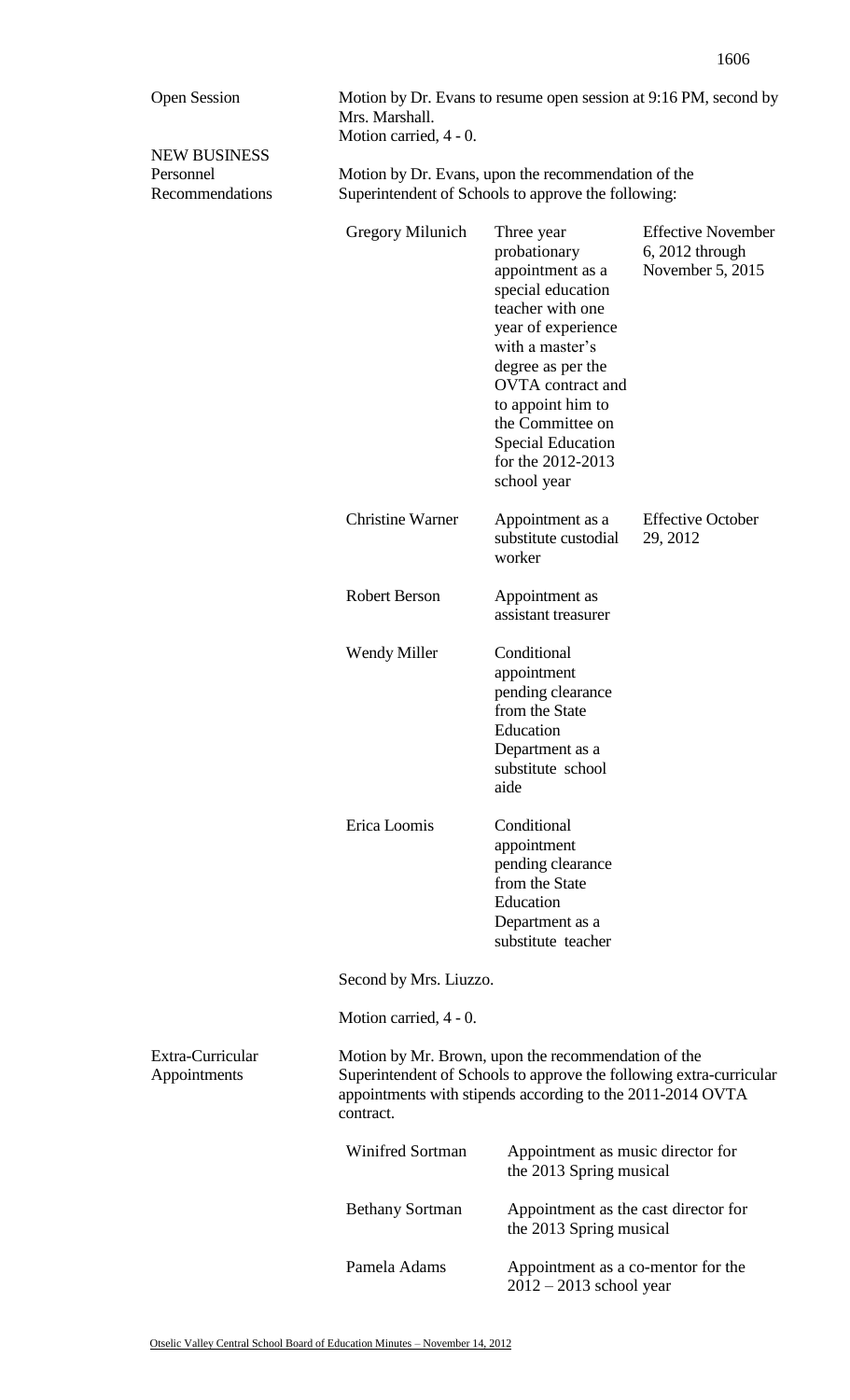| <b>Open Session</b>                                 | Motion by Dr. Evans to resume open session at 9:16 PM, second by<br>Mrs. Marshall.<br>Motion carried, 4 - 0.                                                                                          |                                                                                                                                                                                                                                                                                            |                                                                    |  |
|-----------------------------------------------------|-------------------------------------------------------------------------------------------------------------------------------------------------------------------------------------------------------|--------------------------------------------------------------------------------------------------------------------------------------------------------------------------------------------------------------------------------------------------------------------------------------------|--------------------------------------------------------------------|--|
| <b>NEW BUSINESS</b><br>Personnel<br>Recommendations | Motion by Dr. Evans, upon the recommendation of the<br>Superintendent of Schools to approve the following:                                                                                            |                                                                                                                                                                                                                                                                                            |                                                                    |  |
|                                                     | Gregory Milunich                                                                                                                                                                                      | Three year<br>probationary<br>appointment as a<br>special education<br>teacher with one<br>year of experience<br>with a master's<br>degree as per the<br><b>OVTA</b> contract and<br>to appoint him to<br>the Committee on<br><b>Special Education</b><br>for the 2012-2013<br>school year | <b>Effective November</b><br>$6, 2012$ through<br>November 5, 2015 |  |
|                                                     | <b>Christine Warner</b>                                                                                                                                                                               | Appointment as a<br>substitute custodial<br>worker                                                                                                                                                                                                                                         | <b>Effective October</b><br>29, 2012                               |  |
|                                                     | <b>Robert Berson</b>                                                                                                                                                                                  | Appointment as<br>assistant treasurer                                                                                                                                                                                                                                                      |                                                                    |  |
|                                                     | <b>Wendy Miller</b>                                                                                                                                                                                   | Conditional<br>appointment<br>pending clearance<br>from the State<br>Education<br>Department as a<br>substitute school<br>aide                                                                                                                                                             |                                                                    |  |
|                                                     | Erica Loomis                                                                                                                                                                                          | Conditional<br>appointment<br>pending clearance<br>from the State<br>Education<br>Department as a<br>substitute teacher                                                                                                                                                                    |                                                                    |  |
|                                                     | Second by Mrs. Liuzzo.                                                                                                                                                                                |                                                                                                                                                                                                                                                                                            |                                                                    |  |
|                                                     | Motion carried, 4 - 0.                                                                                                                                                                                |                                                                                                                                                                                                                                                                                            |                                                                    |  |
| Extra-Curricular<br>Appointments                    | Motion by Mr. Brown, upon the recommendation of the<br>Superintendent of Schools to approve the following extra-curricular<br>appointments with stipends according to the 2011-2014 OVTA<br>contract. |                                                                                                                                                                                                                                                                                            |                                                                    |  |
|                                                     | <b>Winifred Sortman</b>                                                                                                                                                                               | Appointment as music director for<br>the 2013 Spring musical                                                                                                                                                                                                                               |                                                                    |  |
|                                                     | <b>Bethany Sortman</b>                                                                                                                                                                                | Appointment as the cast director for<br>the 2013 Spring musical                                                                                                                                                                                                                            |                                                                    |  |
|                                                     | Pamela Adams                                                                                                                                                                                          | Appointment as a co-mentor for the<br>$2012 - 2013$ school year                                                                                                                                                                                                                            |                                                                    |  |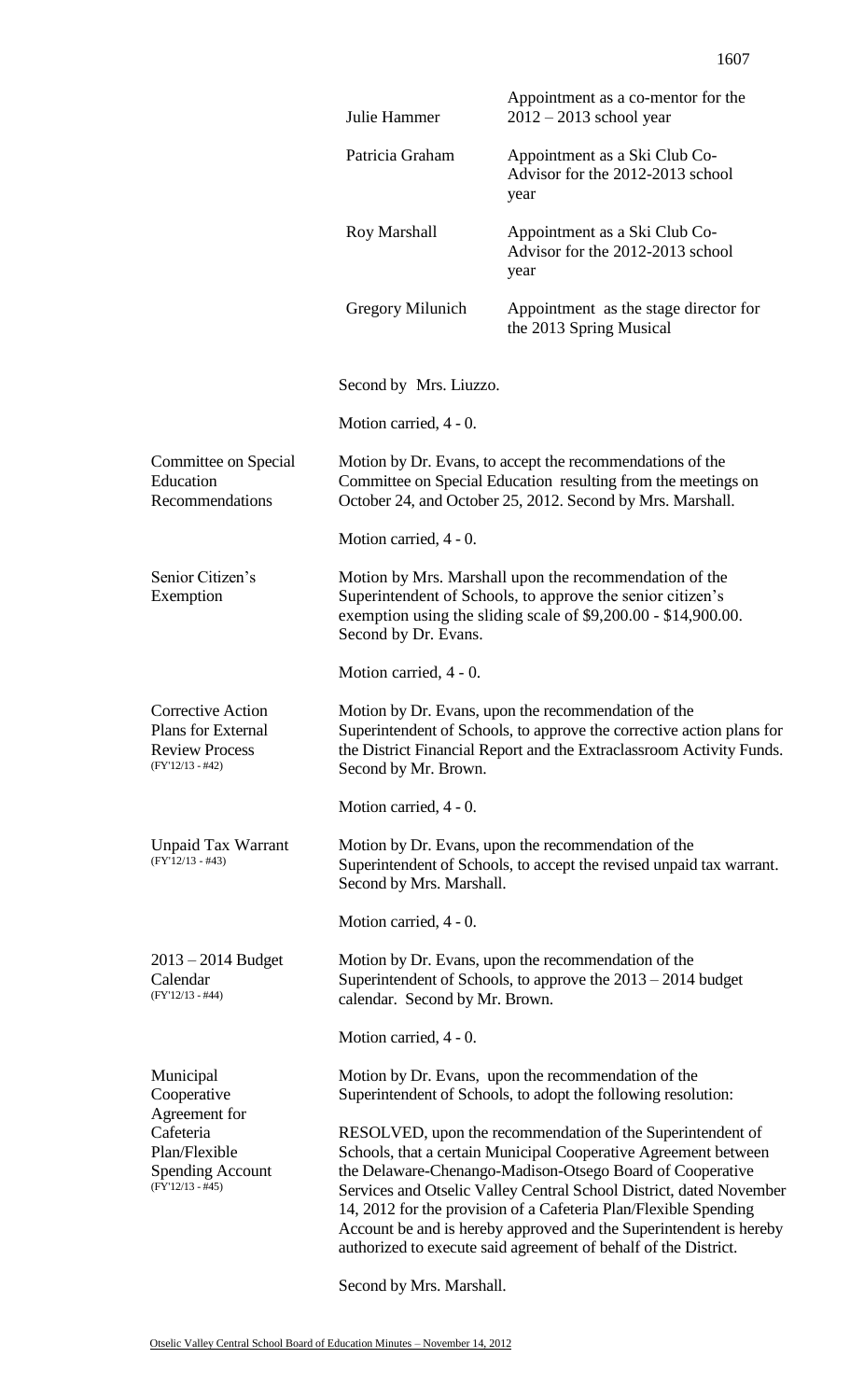|                                                                                        | Julie Hammer                                                                                                                                                                                                                                                                                                                                                                                                                                                                   | Appointment as a co-mentor for the<br>$2012 - 2013$ school year                                                                                                                          |  |
|----------------------------------------------------------------------------------------|--------------------------------------------------------------------------------------------------------------------------------------------------------------------------------------------------------------------------------------------------------------------------------------------------------------------------------------------------------------------------------------------------------------------------------------------------------------------------------|------------------------------------------------------------------------------------------------------------------------------------------------------------------------------------------|--|
|                                                                                        | Patricia Graham                                                                                                                                                                                                                                                                                                                                                                                                                                                                | Appointment as a Ski Club Co-<br>Advisor for the 2012-2013 school<br>year                                                                                                                |  |
|                                                                                        | Roy Marshall                                                                                                                                                                                                                                                                                                                                                                                                                                                                   | Appointment as a Ski Club Co-<br>Advisor for the 2012-2013 school<br>year                                                                                                                |  |
|                                                                                        | <b>Gregory Milunich</b>                                                                                                                                                                                                                                                                                                                                                                                                                                                        | Appointment as the stage director for<br>the 2013 Spring Musical                                                                                                                         |  |
|                                                                                        | Second by Mrs. Liuzzo.                                                                                                                                                                                                                                                                                                                                                                                                                                                         |                                                                                                                                                                                          |  |
|                                                                                        | Motion carried, 4 - 0.                                                                                                                                                                                                                                                                                                                                                                                                                                                         |                                                                                                                                                                                          |  |
| Committee on Special<br>Education<br>Recommendations                                   |                                                                                                                                                                                                                                                                                                                                                                                                                                                                                | Motion by Dr. Evans, to accept the recommendations of the<br>Committee on Special Education resulting from the meetings on<br>October 24, and October 25, 2012. Second by Mrs. Marshall. |  |
|                                                                                        | Motion carried, 4 - 0.                                                                                                                                                                                                                                                                                                                                                                                                                                                         |                                                                                                                                                                                          |  |
| Senior Citizen's<br>Exemption                                                          | Second by Dr. Evans.                                                                                                                                                                                                                                                                                                                                                                                                                                                           | Motion by Mrs. Marshall upon the recommendation of the<br>Superintendent of Schools, to approve the senior citizen's<br>exemption using the sliding scale of \$9,200.00 - \$14,900.00.   |  |
|                                                                                        | Motion carried, 4 - 0.                                                                                                                                                                                                                                                                                                                                                                                                                                                         |                                                                                                                                                                                          |  |
| Corrective Action<br>Plans for External<br><b>Review Process</b><br>$(FY'12/13 - #42)$ | Motion by Dr. Evans, upon the recommendation of the<br>Superintendent of Schools, to approve the corrective action plans for<br>the District Financial Report and the Extraclassroom Activity Funds.<br>Second by Mr. Brown.                                                                                                                                                                                                                                                   |                                                                                                                                                                                          |  |
|                                                                                        | Motion carried, 4 - 0.                                                                                                                                                                                                                                                                                                                                                                                                                                                         |                                                                                                                                                                                          |  |
| <b>Unpaid Tax Warrant</b><br>$(FY'12/13 - #43)$                                        | Second by Mrs. Marshall.                                                                                                                                                                                                                                                                                                                                                                                                                                                       | Motion by Dr. Evans, upon the recommendation of the<br>Superintendent of Schools, to accept the revised unpaid tax warrant.                                                              |  |
|                                                                                        | Motion carried, 4 - 0.                                                                                                                                                                                                                                                                                                                                                                                                                                                         |                                                                                                                                                                                          |  |
| $2013 - 2014$ Budget<br>Calendar<br>$(FY'12/13 - #44)$                                 | Motion by Dr. Evans, upon the recommendation of the<br>Superintendent of Schools, to approve the $2013 - 2014$ budget<br>calendar. Second by Mr. Brown.                                                                                                                                                                                                                                                                                                                        |                                                                                                                                                                                          |  |
|                                                                                        | Motion carried, 4 - 0.                                                                                                                                                                                                                                                                                                                                                                                                                                                         |                                                                                                                                                                                          |  |
| Municipal<br>Cooperative<br>Agreement for                                              |                                                                                                                                                                                                                                                                                                                                                                                                                                                                                | Motion by Dr. Evans, upon the recommendation of the<br>Superintendent of Schools, to adopt the following resolution:                                                                     |  |
| Cafeteria<br>Plan/Flexible<br><b>Spending Account</b><br>$(FY'12/13 - #45)$            | RESOLVED, upon the recommendation of the Superintendent of<br>Schools, that a certain Municipal Cooperative Agreement between<br>the Delaware-Chenango-Madison-Otsego Board of Cooperative<br>Services and Otselic Valley Central School District, dated November<br>14, 2012 for the provision of a Cafeteria Plan/Flexible Spending<br>Account be and is hereby approved and the Superintendent is hereby<br>authorized to execute said agreement of behalf of the District. |                                                                                                                                                                                          |  |
|                                                                                        | Second by Mrs. Marshall.                                                                                                                                                                                                                                                                                                                                                                                                                                                       |                                                                                                                                                                                          |  |